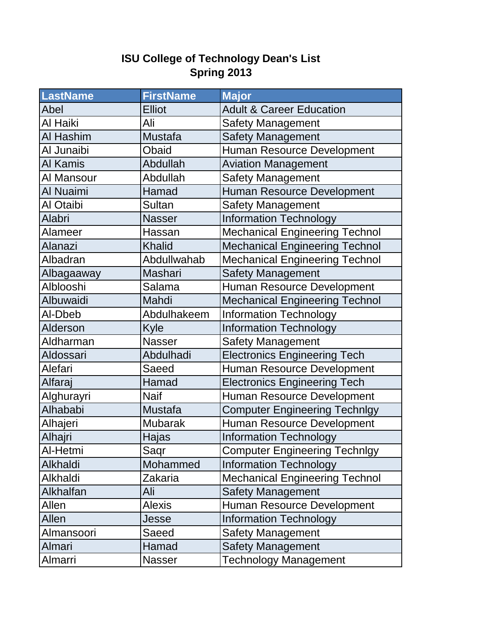## **ISU College of Technology Dean's List Spring 2013**

| <b>LastName</b> | <b>FirstName</b> | <b>Major</b>                          |
|-----------------|------------------|---------------------------------------|
| Abel            | <b>Elliot</b>    | <b>Adult &amp; Career Education</b>   |
| Al Haiki        | Ali              | <b>Safety Management</b>              |
| Al Hashim       | <b>Mustafa</b>   | <b>Safety Management</b>              |
| Al Junaibi      | Obaid            | Human Resource Development            |
| Al Kamis        | Abdullah         | <b>Aviation Management</b>            |
| Al Mansour      | Abdullah         | <b>Safety Management</b>              |
| Al Nuaimi       | Hamad            | Human Resource Development            |
| Al Otaibi       | <b>Sultan</b>    | <b>Safety Management</b>              |
| Alabri          | <b>Nasser</b>    | <b>Information Technology</b>         |
| Alameer         | Hassan           | <b>Mechanical Engineering Technol</b> |
| Alanazi         | <b>Khalid</b>    | <b>Mechanical Engineering Technol</b> |
| Albadran        | Abdullwahab      | <b>Mechanical Engineering Technol</b> |
| Albagaaway      | <b>Mashari</b>   | <b>Safety Management</b>              |
| Alblooshi       | Salama           | Human Resource Development            |
| Albuwaidi       | Mahdi            | <b>Mechanical Engineering Technol</b> |
| Al-Dbeb         | Abdulhakeem      | <b>Information Technology</b>         |
| Alderson        | Kyle             | <b>Information Technology</b>         |
| Aldharman       | <b>Nasser</b>    | <b>Safety Management</b>              |
| Aldossari       | Abdulhadi        | <b>Electronics Engineering Tech</b>   |
| Alefari         | Saeed            | Human Resource Development            |
| Alfaraj         | Hamad            | <b>Electronics Engineering Tech</b>   |
| Alghurayri      | <b>Naif</b>      | Human Resource Development            |
| Alhababi        | <b>Mustafa</b>   | <b>Computer Engineering Technlgy</b>  |
| Alhajeri        | <b>Mubarak</b>   | Human Resource Development            |
| Alhajri         | Hajas            | Information Technology                |
| Al-Hetmi        | Saqr             | <b>Computer Engineering Technlgy</b>  |
| Alkhaldi        | Mohammed         | <b>Information Technology</b>         |
| Alkhaldi        | Zakaria          | <b>Mechanical Engineering Technol</b> |
| Alkhalfan       | Ali              | <b>Safety Management</b>              |
| Allen           | <b>Alexis</b>    | Human Resource Development            |
| Allen           | Jesse            | <b>Information Technology</b>         |
| Almansoori      | Saeed            | <b>Safety Management</b>              |
| Almari          | Hamad            | <b>Safety Management</b>              |
| Almarri         | <b>Nasser</b>    | <b>Technology Management</b>          |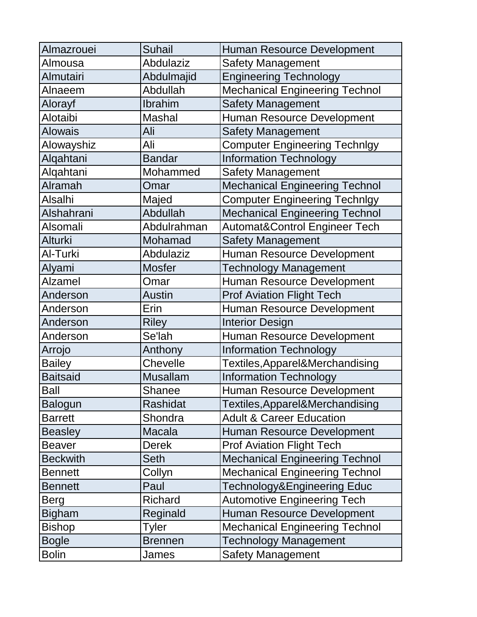| Almazrouei      | <b>Suhail</b>   | <b>Human Resource Development</b>        |
|-----------------|-----------------|------------------------------------------|
| Almousa         | Abdulaziz       | <b>Safety Management</b>                 |
| Almutairi       | Abdulmajid      | <b>Engineering Technology</b>            |
| Alnaeem         | Abdullah        | <b>Mechanical Engineering Technol</b>    |
| Alorayf         | Ibrahim         | <b>Safety Management</b>                 |
| Alotaibi        | <b>Mashal</b>   | Human Resource Development               |
| <b>Alowais</b>  | Ali             | <b>Safety Management</b>                 |
| Alowayshiz      | Ali             | <b>Computer Engineering Technlgy</b>     |
| Algahtani       | <b>Bandar</b>   | <b>Information Technology</b>            |
| Alqahtani       | Mohammed        | <b>Safety Management</b>                 |
| Alramah         | Omar            | <b>Mechanical Engineering Technol</b>    |
| <b>Alsalhi</b>  | Majed           | <b>Computer Engineering Technlgy</b>     |
| Alshahrani      | Abdullah        | <b>Mechanical Engineering Technol</b>    |
| Alsomali        | Abdulrahman     | <b>Automat&amp;Control Engineer Tech</b> |
| <b>Alturki</b>  | Mohamad         | <b>Safety Management</b>                 |
| Al-Turki        | Abdulaziz       | <b>Human Resource Development</b>        |
| Alyami          | <b>Mosfer</b>   | <b>Technology Management</b>             |
| <b>Alzamel</b>  | Omar            | <b>Human Resource Development</b>        |
| Anderson        | <b>Austin</b>   | <b>Prof Aviation Flight Tech</b>         |
| Anderson        | Erin            | <b>Human Resource Development</b>        |
| Anderson        | <b>Riley</b>    | <b>Interior Design</b>                   |
| Anderson        | Se'lah          | <b>Human Resource Development</b>        |
| Arrojo          | Anthony         | <b>Information Technology</b>            |
| <b>Bailey</b>   | Chevelle        | Textiles, Apparel&Merchandising          |
| <b>Baitsaid</b> | <b>Musallam</b> | <b>Information Technology</b>            |
| <b>Ball</b>     | Shanee          | Human Resource Development               |
| <b>Balogun</b>  | Rashidat        | Textiles, Apparel&Merchandising          |
| <b>Barrett</b>  | Shondra         | <b>Adult &amp; Career Education</b>      |
| <b>Beasley</b>  | <b>Macala</b>   | <b>Human Resource Development</b>        |
| <b>Beaver</b>   | <b>Derek</b>    | <b>Prof Aviation Flight Tech</b>         |
| <b>Beckwith</b> | <b>Seth</b>     | <b>Mechanical Engineering Technol</b>    |
| <b>Bennett</b>  | Collyn          | <b>Mechanical Engineering Technol</b>    |
| <b>Bennett</b>  | Paul            | Technology&Engineering Educ              |
| Berg            | <b>Richard</b>  | <b>Automotive Engineering Tech</b>       |
| <b>Bigham</b>   | Reginald        | <b>Human Resource Development</b>        |
| <b>Bishop</b>   | Tyler           | <b>Mechanical Engineering Technol</b>    |
| <b>Bogle</b>    | <b>Brennen</b>  | <b>Technology Management</b>             |
| <b>Bolin</b>    | James           | <b>Safety Management</b>                 |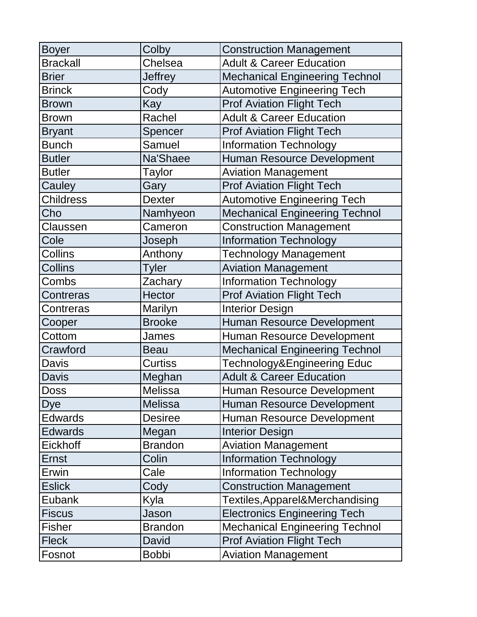| <b>Boyer</b>     | Colby          | <b>Construction Management</b>        |
|------------------|----------------|---------------------------------------|
| <b>Brackall</b>  | Chelsea        | <b>Adult &amp; Career Education</b>   |
| <b>Brier</b>     | <b>Jeffrey</b> | <b>Mechanical Engineering Technol</b> |
| <b>Brinck</b>    | Cody           | <b>Automotive Engineering Tech</b>    |
| <b>Brown</b>     | Kay            | <b>Prof Aviation Flight Tech</b>      |
| <b>Brown</b>     | Rachel         | <b>Adult &amp; Career Education</b>   |
| <b>Bryant</b>    | Spencer        | <b>Prof Aviation Flight Tech</b>      |
| <b>Bunch</b>     | Samuel         | <b>Information Technology</b>         |
| <b>Butler</b>    | Na'Shaee       | <b>Human Resource Development</b>     |
| <b>Butler</b>    | Taylor         | <b>Aviation Management</b>            |
| Cauley           | Gary           | <b>Prof Aviation Flight Tech</b>      |
| <b>Childress</b> | <b>Dexter</b>  | <b>Automotive Engineering Tech</b>    |
| Cho              | Namhyeon       | <b>Mechanical Engineering Technol</b> |
| Claussen         | Cameron        | <b>Construction Management</b>        |
| Cole             | Joseph         | <b>Information Technology</b>         |
| Collins          | Anthony        | <b>Technology Management</b>          |
| <b>Collins</b>   | <b>Tyler</b>   | <b>Aviation Management</b>            |
| Combs            | Zachary        | <b>Information Technology</b>         |
| Contreras        | <b>Hector</b>  | <b>Prof Aviation Flight Tech</b>      |
| Contreras        | Marilyn        | <b>Interior Design</b>                |
| Cooper           | <b>Brooke</b>  | <b>Human Resource Development</b>     |
| Cottom           | James          | <b>Human Resource Development</b>     |
| Crawford         | <b>Beau</b>    | <b>Mechanical Engineering Technol</b> |
| <b>Davis</b>     | <b>Curtiss</b> | Technology&Engineering Educ           |
| <b>Davis</b>     | Meghan         | <b>Adult &amp; Career Education</b>   |
| <b>Doss</b>      | Melissa        | Human Resource Development            |
| Dye              | <b>Melissa</b> | Human Resource Development            |
| <b>Edwards</b>   | <b>Desiree</b> | Human Resource Development            |
| <b>Edwards</b>   | Megan          | <b>Interior Design</b>                |
| <b>Eickhoff</b>  | <b>Brandon</b> | <b>Aviation Management</b>            |
| <b>Ernst</b>     | Colin          | <b>Information Technology</b>         |
| Erwin            | Cale           | <b>Information Technology</b>         |
| <b>Eslick</b>    | Cody           | <b>Construction Management</b>        |
| <b>Eubank</b>    | Kyla           | Textiles, Apparel&Merchandising       |
| <b>Fiscus</b>    | Jason          | <b>Electronics Engineering Tech</b>   |
| <b>Fisher</b>    | <b>Brandon</b> | <b>Mechanical Engineering Technol</b> |
| <b>Fleck</b>     | David          | <b>Prof Aviation Flight Tech</b>      |
| Fosnot           | <b>Bobbi</b>   | <b>Aviation Management</b>            |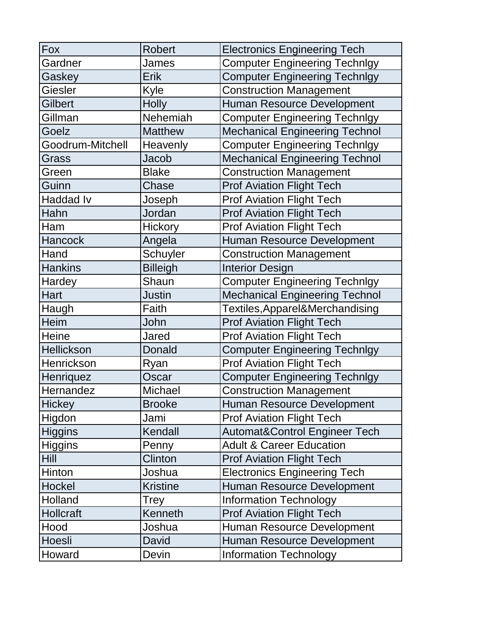| Fox              | <b>Robert</b>   | <b>Electronics Engineering Tech</b>      |
|------------------|-----------------|------------------------------------------|
| Gardner          | James           | <b>Computer Engineering Technlgy</b>     |
| Gaskey           | <b>Erik</b>     | <b>Computer Engineering Technlgy</b>     |
| Giesler          | Kyle            | <b>Construction Management</b>           |
| Gilbert          | <b>Holly</b>    | <b>Human Resource Development</b>        |
| Gillman          | Nehemiah        | <b>Computer Engineering Technlgy</b>     |
| Goelz            | <b>Matthew</b>  | <b>Mechanical Engineering Technol</b>    |
| Goodrum-Mitchell | Heavenly        | <b>Computer Engineering Technlgy</b>     |
| Grass            | Jacob           | <b>Mechanical Engineering Technol</b>    |
| Green            | <b>Blake</b>    | <b>Construction Management</b>           |
| Guinn            | Chase           | <b>Prof Aviation Flight Tech</b>         |
| <b>Haddad Iv</b> | Joseph          | <b>Prof Aviation Flight Tech</b>         |
| Hahn             | Jordan          | <b>Prof Aviation Flight Tech</b>         |
| Ham              | <b>Hickory</b>  | <b>Prof Aviation Flight Tech</b>         |
| <b>Hancock</b>   | Angela          | <b>Human Resource Development</b>        |
| Hand             | Schuyler        | <b>Construction Management</b>           |
| <b>Hankins</b>   | <b>Billeigh</b> | <b>Interior Design</b>                   |
| Hardey           | Shaun           | <b>Computer Engineering Technlgy</b>     |
| Hart             | <b>Justin</b>   | <b>Mechanical Engineering Technol</b>    |
| Haugh            | Faith           | Textiles, Apparel&Merchandising          |
| <b>Heim</b>      | John            | <b>Prof Aviation Flight Tech</b>         |
| <b>Heine</b>     | Jared           | <b>Prof Aviation Flight Tech</b>         |
| Hellickson       | Donald          | <b>Computer Engineering Technlgy</b>     |
| Henrickson       | Ryan            | <b>Prof Aviation Flight Tech</b>         |
| Henriquez        | Oscar           | <b>Computer Engineering Technlgy</b>     |
| Hernandez        | Michael         | <b>Construction Management</b>           |
| <b>Hickey</b>    | <b>Brooke</b>   | Human Resource Development               |
| Higdon           | Jami            | <b>Prof Aviation Flight Tech</b>         |
| <b>Higgins</b>   | Kendall         | <b>Automat&amp;Control Engineer Tech</b> |
| <b>Higgins</b>   | Penny           | <b>Adult &amp; Career Education</b>      |
| <b>Hill</b>      | Clinton         | <b>Prof Aviation Flight Tech</b>         |
| Hinton           | Joshua          | <b>Electronics Engineering Tech</b>      |
| Hockel           | <b>Kristine</b> | <b>Human Resource Development</b>        |
| Holland          | Trey            | <b>Information Technology</b>            |
| <b>Hollcraft</b> | Kenneth         | <b>Prof Aviation Flight Tech</b>         |
| Hood             | Joshua          | <b>Human Resource Development</b>        |
| Hoesli           | David           | Human Resource Development               |
| Howard           | Devin           | <b>Information Technology</b>            |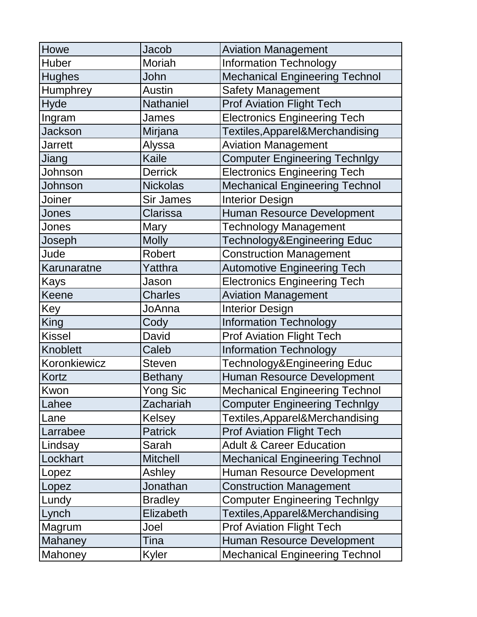| Howe           | Jacob            | <b>Aviation Management</b>            |
|----------------|------------------|---------------------------------------|
| <b>Huber</b>   | Moriah           | <b>Information Technology</b>         |
| <b>Hughes</b>  | John             | <b>Mechanical Engineering Technol</b> |
| Humphrey       | <b>Austin</b>    | <b>Safety Management</b>              |
| <b>Hyde</b>    | Nathaniel        | <b>Prof Aviation Flight Tech</b>      |
| Ingram         | James            | <b>Electronics Engineering Tech</b>   |
| <b>Jackson</b> | Mirjana          | Textiles, Apparel&Merchandising       |
| <b>Jarrett</b> | Alyssa           | <b>Aviation Management</b>            |
| Jiang          | Kaile            | <b>Computer Engineering Technlgy</b>  |
| Johnson        | <b>Derrick</b>   | <b>Electronics Engineering Tech</b>   |
| Johnson        | <b>Nickolas</b>  | <b>Mechanical Engineering Technol</b> |
| Joiner         | <b>Sir James</b> | <b>Interior Design</b>                |
| Jones          | Clarissa         | <b>Human Resource Development</b>     |
| Jones          | Mary             | <b>Technology Management</b>          |
| Joseph         | <b>Molly</b>     | Technology&Engineering Educ           |
| Jude           | Robert           | <b>Construction Management</b>        |
| Karunaratne    | Yatthra          | <b>Automotive Engineering Tech</b>    |
| Kays           | Jason            | <b>Electronics Engineering Tech</b>   |
| Keene          | <b>Charles</b>   | <b>Aviation Management</b>            |
| Key            | JoAnna           | <b>Interior Design</b>                |
| <b>King</b>    | Cody             | <b>Information Technology</b>         |
| <b>Kissel</b>  | David            | <b>Prof Aviation Flight Tech</b>      |
| Knoblett       | Caleb            | <b>Information Technology</b>         |
| Koronkiewicz   | <b>Steven</b>    | Technology&Engineering Educ           |
| Kortz          | <b>Bethany</b>   | Human Resource Development            |
| Kwon           | <b>Yong Sic</b>  | <b>Mechanical Engineering Technol</b> |
| Lahee          | Zachariah        | <b>Computer Engineering Technlgy</b>  |
| Lane           | <b>Kelsey</b>    | Textiles, Apparel&Merchandising       |
| Larrabee       | <b>Patrick</b>   | <b>Prof Aviation Flight Tech</b>      |
| Lindsay        | Sarah            | <b>Adult &amp; Career Education</b>   |
| Lockhart       | <b>Mitchell</b>  | <b>Mechanical Engineering Technol</b> |
| Lopez          | Ashley           | <b>Human Resource Development</b>     |
| Lopez          | Jonathan         | <b>Construction Management</b>        |
| Lundy          | <b>Bradley</b>   | <b>Computer Engineering Technlgy</b>  |
| Lynch          | Elizabeth        | Textiles, Apparel&Merchandising       |
| Magrum         | Joel             | <b>Prof Aviation Flight Tech</b>      |
| Mahaney        | Tina             | <b>Human Resource Development</b>     |
| Mahoney        | Kyler            | <b>Mechanical Engineering Technol</b> |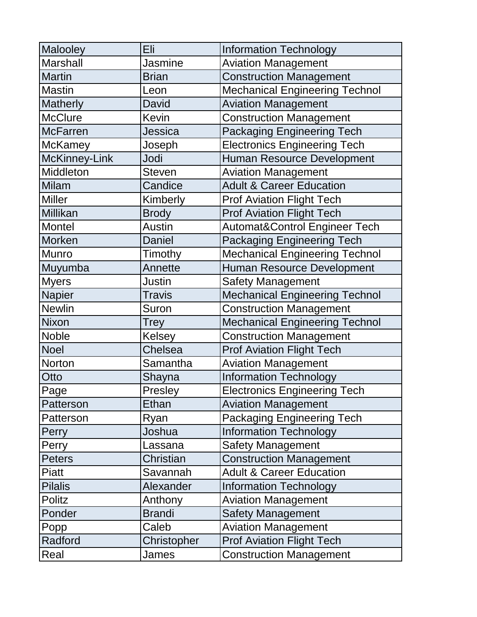| Malooley             | Eli           | <b>Information Technology</b>            |
|----------------------|---------------|------------------------------------------|
| <b>Marshall</b>      | Jasmine       | <b>Aviation Management</b>               |
| <b>Martin</b>        | <b>Brian</b>  | <b>Construction Management</b>           |
| <b>Mastin</b>        | Leon          | <b>Mechanical Engineering Technol</b>    |
| <b>Matherly</b>      | David         | <b>Aviation Management</b>               |
| <b>McClure</b>       | <b>Kevin</b>  | <b>Construction Management</b>           |
| <b>McFarren</b>      | Jessica       | <b>Packaging Engineering Tech</b>        |
| <b>McKamey</b>       | Joseph        | <b>Electronics Engineering Tech</b>      |
| <b>McKinney-Link</b> | Jodi          | <b>Human Resource Development</b>        |
| <b>Middleton</b>     | <b>Steven</b> | <b>Aviation Management</b>               |
| <b>Milam</b>         | Candice       | <b>Adult &amp; Career Education</b>      |
| <b>Miller</b>        | Kimberly      | <b>Prof Aviation Flight Tech</b>         |
| <b>Millikan</b>      | <b>Brody</b>  | <b>Prof Aviation Flight Tech</b>         |
| Montel               | <b>Austin</b> | <b>Automat&amp;Control Engineer Tech</b> |
| <b>Morken</b>        | <b>Daniel</b> | <b>Packaging Engineering Tech</b>        |
| <b>Munro</b>         | Timothy       | <b>Mechanical Engineering Technol</b>    |
| Muyumba              | Annette       | <b>Human Resource Development</b>        |
| <b>Myers</b>         | <b>Justin</b> | <b>Safety Management</b>                 |
| <b>Napier</b>        | <b>Travis</b> | <b>Mechanical Engineering Technol</b>    |
| <b>Newlin</b>        | Suron         | <b>Construction Management</b>           |
| <b>Nixon</b>         | Trey          | <b>Mechanical Engineering Technol</b>    |
| <b>Noble</b>         | <b>Kelsey</b> | <b>Construction Management</b>           |
| <b>Noel</b>          | Chelsea       | <b>Prof Aviation Flight Tech</b>         |
| Norton               | Samantha      | <b>Aviation Management</b>               |
| Otto                 | Shayna        | <b>Information Technology</b>            |
| Page                 | Presley       | <b>Electronics Engineering Tech</b>      |
| Patterson            | Ethan         | <b>Aviation Management</b>               |
| Patterson            | Ryan          | <b>Packaging Engineering Tech</b>        |
| Perry                | Joshua        | <b>Information Technology</b>            |
| Perry                | Lassana       | <b>Safety Management</b>                 |
| <b>Peters</b>        | Christian     | <b>Construction Management</b>           |
| <b>Piatt</b>         | Savannah      | <b>Adult &amp; Career Education</b>      |
| <b>Pilalis</b>       | Alexander     | <b>Information Technology</b>            |
| <b>Politz</b>        | Anthony       | <b>Aviation Management</b>               |
| Ponder               | <b>Brandi</b> | <b>Safety Management</b>                 |
| Popp                 | Caleb         | <b>Aviation Management</b>               |
| Radford              | Christopher   | <b>Prof Aviation Flight Tech</b>         |
| Real                 | James         | <b>Construction Management</b>           |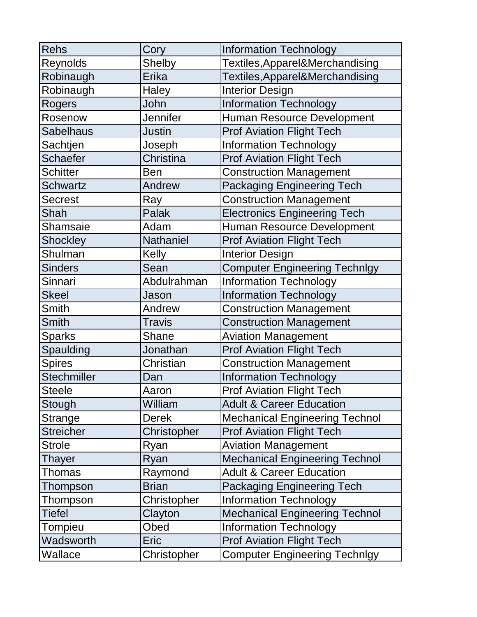| <b>Rehs</b>        | Cory             | <b>Information Technology</b>         |
|--------------------|------------------|---------------------------------------|
| Reynolds           | <b>Shelby</b>    | Textiles, Apparel&Merchandising       |
| Robinaugh          | Erika            | Textiles, Apparel&Merchandising       |
| Robinaugh          | Haley            | <b>Interior Design</b>                |
| Rogers             | John             | <b>Information Technology</b>         |
| Rosenow            | Jennifer         | Human Resource Development            |
| <b>Sabelhaus</b>   | <b>Justin</b>    | <b>Prof Aviation Flight Tech</b>      |
| Sachtjen           | Joseph           | <b>Information Technology</b>         |
| <b>Schaefer</b>    | Christina        | <b>Prof Aviation Flight Tech</b>      |
| <b>Schitter</b>    | <b>Ben</b>       | <b>Construction Management</b>        |
| <b>Schwartz</b>    | Andrew           | <b>Packaging Engineering Tech</b>     |
| <b>Secrest</b>     | Ray              | <b>Construction Management</b>        |
| Shah               | Palak            | <b>Electronics Engineering Tech</b>   |
| Shamsaie           | Adam             | <b>Human Resource Development</b>     |
| Shockley           | <b>Nathaniel</b> | <b>Prof Aviation Flight Tech</b>      |
| Shulman            | Kelly            | <b>Interior Design</b>                |
| <b>Sinders</b>     | Sean             | <b>Computer Engineering Technlgy</b>  |
| Sinnari            | Abdulrahman      | <b>Information Technology</b>         |
| <b>Skeel</b>       | Jason            | <b>Information Technology</b>         |
| <b>Smith</b>       | Andrew           | <b>Construction Management</b>        |
| <b>Smith</b>       | <b>Travis</b>    | <b>Construction Management</b>        |
| <b>Sparks</b>      | <b>Shane</b>     | <b>Aviation Management</b>            |
| Spaulding          | Jonathan         | <b>Prof Aviation Flight Tech</b>      |
| <b>Spires</b>      | Christian        | <b>Construction Management</b>        |
| <b>Stechmiller</b> | Dan              | <b>Information Technology</b>         |
| <b>Steele</b>      | Aaron            | <b>Prof Aviation Flight Tech</b>      |
| Stough             | William          | <b>Adult &amp; Career Education</b>   |
| Strange            | <b>Derek</b>     | <b>Mechanical Engineering Technol</b> |
| <b>Streicher</b>   | Christopher      | <b>Prof Aviation Flight Tech</b>      |
| <b>Strole</b>      | Ryan             | <b>Aviation Management</b>            |
| Thayer             | Ryan             | <b>Mechanical Engineering Technol</b> |
| <b>Thomas</b>      | Raymond          | <b>Adult &amp; Career Education</b>   |
| Thompson           | <b>Brian</b>     | <b>Packaging Engineering Tech</b>     |
| Thompson           | Christopher      | <b>Information Technology</b>         |
| <b>Tiefel</b>      | Clayton          | <b>Mechanical Engineering Technol</b> |
| Tompieu            | Obed             | <b>Information Technology</b>         |
| Wadsworth          | Eric             | <b>Prof Aviation Flight Tech</b>      |
| Wallace            | Christopher      | <b>Computer Engineering Technlgy</b>  |